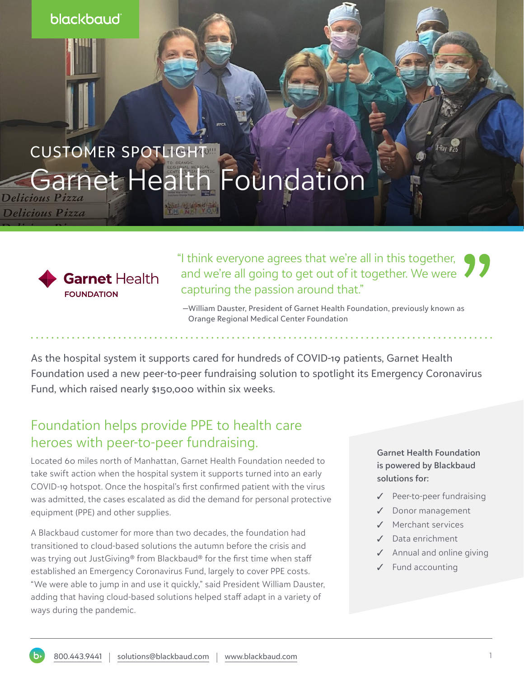blackbaud

# CUSTOMER SPOTLIGHT Garnet Health Foundation

Delicious Pizza



"I think everyone agrees that we're all in this together, and we're all going to get out of it together. We were capturing the passion around that."

 —William Dauster, President of Garnet Health Foundation, previously known as Orange Regional Medical Center Foundation

As the hospital system it supports cared for hundreds of COVID-19 patients, Garnet Health Foundation used a new peer-to-peer fundraising solution to spotlight its Emergency Coronavirus Fund, which raised nearly \$150,000 within six weeks.

### Foundation helps provide PPE to health care heroes with peer-to-peer fundraising.

Located 60 miles north of Manhattan, Garnet Health Foundation needed to take swift action when the hospital system it supports turned into an early COVID-19 hotspot. Once the hospital's first confirmed patient with the virus was admitted, the cases escalated as did the demand for personal protective equipment (PPE) and other supplies.

A Blackbaud customer for more than two decades, the foundation had transitioned to cloud-based solutions the autumn before the crisis and was trying out JustGiving® from Blackbaud® for the first time when staff established an Emergency Coronavirus Fund, largely to cover PPE costs. "We were able to jump in and use it quickly," said President William Dauster, adding that having cloud-based solutions helped staff adapt in a variety of ways during the pandemic.

**Garnet Health Foundation is powered by Blackbaud solutions for:** 

- ✓ Peer-to-peer fundraising
- ✓ Donor management
- ✓ Merchant services
- ✓ Data enrichment
- ✓ Annual and online giving
- ✓ Fund accounting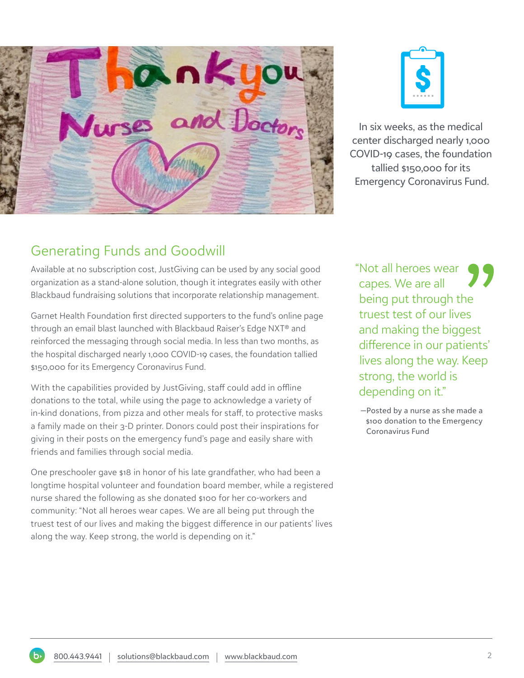



In six weeks, as the medical center discharged nearly 1,000 COVID-19 cases, the foundation tallied \$150,000 for its Emergency Coronavirus Fund.

Available at no subscription cost, JustGiving can be used by any social good organization as a stand-alone solution, though it integrates easily with other Blackbaud fundraising solutions that incorporate relationship management.

Garnet Health Foundation first directed supporters to the fund's online page through an email blast launched with Blackbaud Raiser's Edge NXT® and reinforced the messaging through social media. In less than two months, as the hospital discharged nearly 1,000 COVID-19 cases, the foundation tallied \$150,000 for its Emergency Coronavirus Fund.

With the capabilities provided by JustGiving, staff could add in offline donations to the total, while using the page to acknowledge a variety of in-kind donations, from pizza and other meals for staff, to protective masks a family made on their 3-D printer. Donors could post their inspirations for giving in their posts on the emergency fund's page and easily share with friends and families through social media.

One preschooler gave \$18 in honor of his late grandfather, who had been a longtime hospital volunteer and foundation board member, while a registered nurse shared the following as she donated \$100 for her co-workers and community: "Not all heroes wear capes. We are all being put through the truest test of our lives and making the biggest difference in our patients' lives along the way. Keep strong, the world is depending on it."

"Not all heroes wear capes. We are all being put through the truest test of our lives and making the biggest difference in our patients' lives along the way. Keep strong, the world is depending on it."

 —Posted by a nurse as she made a \$100 donation to the Emergency Coronavirus Fund